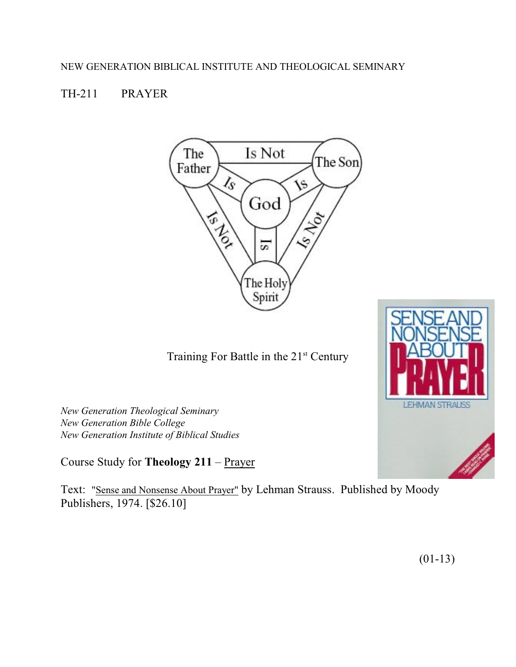# TH-211 PRAYER



Training For Battle in the  $21<sup>st</sup>$  Century

*New Generation Theological Seminary New Generation Bible College New Generation Institute of Biblical Studies*

Course Study for **Theology 211** – Prayer

Text: "Sense and Nonsense About Prayer" by Lehman Strauss. Published by Moody Publishers, 1974. [\$26.10]



(01-13)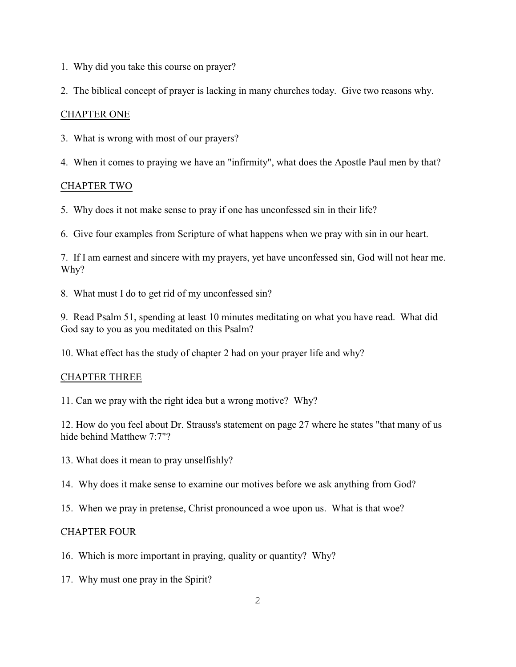- 1. Why did you take this course on prayer?
- 2. The biblical concept of prayer is lacking in many churches today. Give two reasons why.

# CHAPTER ONE

- 3. What is wrong with most of our prayers?
- 4. When it comes to praying we have an "infirmity", what does the Apostle Paul men by that?

# CHAPTER TWO

- 5. Why does it not make sense to pray if one has unconfessed sin in their life?
- 6. Give four examples from Scripture of what happens when we pray with sin in our heart.

7. If I am earnest and sincere with my prayers, yet have unconfessed sin, God will not hear me. Why?

8. What must I do to get rid of my unconfessed sin?

9. Read Psalm 51, spending at least 10 minutes meditating on what you have read. What did God say to you as you meditated on this Psalm?

10. What effect has the study of chapter 2 had on your prayer life and why?

### CHAPTER THREE

11. Can we pray with the right idea but a wrong motive? Why?

12. How do you feel about Dr. Strauss's statement on page 27 where he states "that many of us hide behind Matthew 7:7"?

- 13. What does it mean to pray unselfishly?
- 14. Why does it make sense to examine our motives before we ask anything from God?
- 15. When we pray in pretense, Christ pronounced a woe upon us. What is that woe?

### CHAPTER FOUR

- 16. Which is more important in praying, quality or quantity? Why?
- 17. Why must one pray in the Spirit?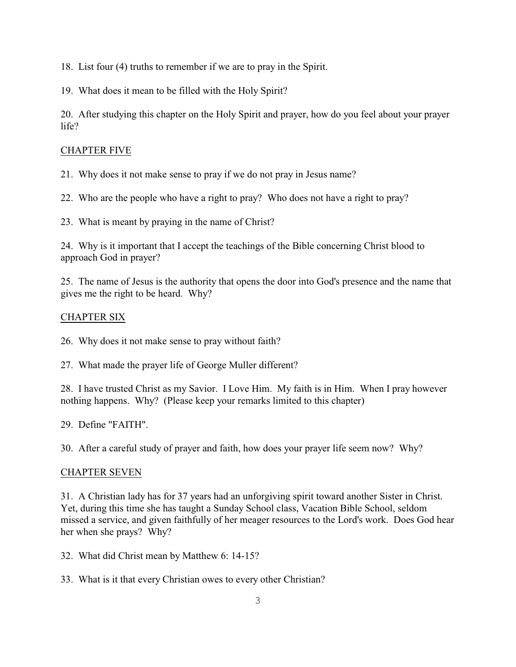18. List four (4) truths to remember if we are to pray in the Spirit.

19. What does it mean to be filled with the Holy Spirit?

20. After studying this chapter on the Holy Spirit and prayer, how do you feel about your prayer life?

# CHAPTER FIVE

21. Why does it not make sense to pray if we do not pray in Jesus name?

22. Who are the people who have a right to pray? Who does not have a right to pray?

23. What is meant by praying in the name of Christ?

24. Why is it important that I accept the teachings of the Bible concerning Christ blood to approach God in prayer?

25. The name of Jesus is the authority that opens the door into God's presence and the name that gives me the right to be heard. Why?

# CHAPTER SIX

26. Why does it not make sense to pray without faith?

27. What made the prayer life of George Muller different?

28. I have trusted Christ as my Savior. I Love Him. My faith is in Him. When I pray however nothing happens. Why? (Please keep your remarks limited to this chapter)

29. Define "FAITH".

30. After a careful study of prayer and faith, how does your prayer life seem now? Why?

### CHAPTER SEVEN

31. A Christian lady has for 37 years had an unforgiving spirit toward another Sister in Christ. Yet, during this time she has taught a Sunday School class, Vacation Bible School, seldom missed a service, and given faithfully of her meager resources to the Lord's work. Does God hear her when she prays? Why?

32. What did Christ mean by Matthew 6: 14-15?

33. What is it that every Christian owes to every other Christian?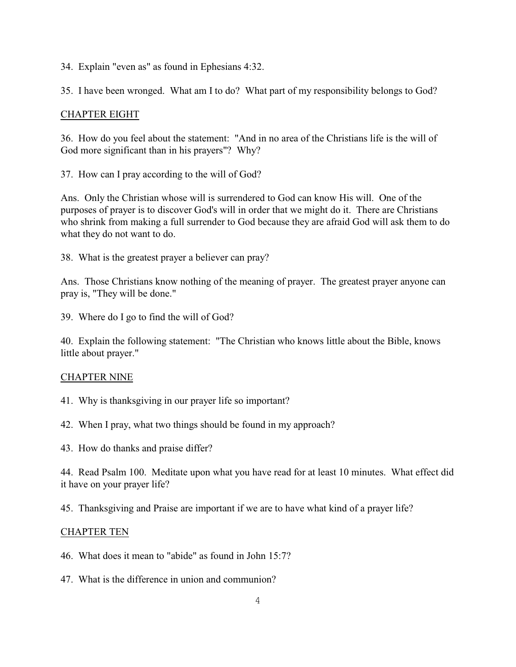34. Explain "even as" as found in Ephesians 4:32.

35. I have been wronged. What am I to do? What part of my responsibility belongs to God?

### CHAPTER EIGHT

36. How do you feel about the statement: "And in no area of the Christians life is the will of God more significant than in his prayers"? Why?

37. How can I pray according to the will of God?

Ans. Only the Christian whose will is surrendered to God can know His will. One of the purposes of prayer is to discover God's will in order that we might do it. There are Christians who shrink from making a full surrender to God because they are afraid God will ask them to do what they do not want to do.

38. What is the greatest prayer a believer can pray?

Ans. Those Christians know nothing of the meaning of prayer. The greatest prayer anyone can pray is, "They will be done."

39. Where do I go to find the will of God?

40. Explain the following statement: "The Christian who knows little about the Bible, knows little about prayer."

#### CHAPTER NINE

- 41. Why is thanksgiving in our prayer life so important?
- 42. When I pray, what two things should be found in my approach?
- 43. How do thanks and praise differ?

44. Read Psalm 100. Meditate upon what you have read for at least 10 minutes. What effect did it have on your prayer life?

45. Thanksgiving and Praise are important if we are to have what kind of a prayer life?

#### CHAPTER TEN

- 46. What does it mean to "abide" as found in John 15:7?
- 47. What is the difference in union and communion?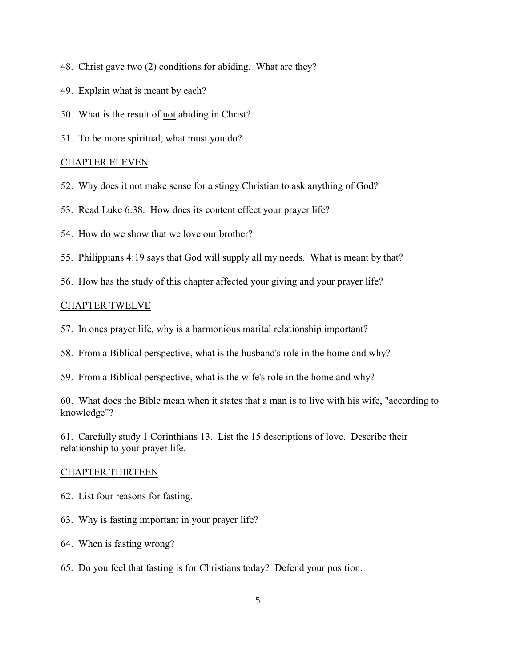- 48. Christ gave two (2) conditions for abiding. What are they?
- 49. Explain what is meant by each?
- 50. What is the result of not abiding in Christ?
- 51. To be more spiritual, what must you do?

#### CHAPTER ELEVEN

- 52. Why does it not make sense for a stingy Christian to ask anything of God?
- 53. Read Luke 6:38. How does its content effect your prayer life?
- 54. How do we show that we love our brother?
- 55. Philippians 4:19 says that God will supply all my needs. What is meant by that?
- 56. How has the study of this chapter affected your giving and your prayer life?

#### CHAPTER TWELVE

- 57. In ones prayer life, why is a harmonious marital relationship important?
- 58. From a Biblical perspective, what is the husband's role in the home and why?
- 59. From a Biblical perspective, what is the wife's role in the home and why?

60. What does the Bible mean when it states that a man is to live with his wife, "according to knowledge"?

61. Carefully study 1 Corinthians 13. List the 15 descriptions of love. Describe their relationship to your prayer life.

#### CHAPTER THIRTEEN

- 62. List four reasons for fasting.
- 63. Why is fasting important in your prayer life?
- 64. When is fasting wrong?
- 65. Do you feel that fasting is for Christians today? Defend your position.